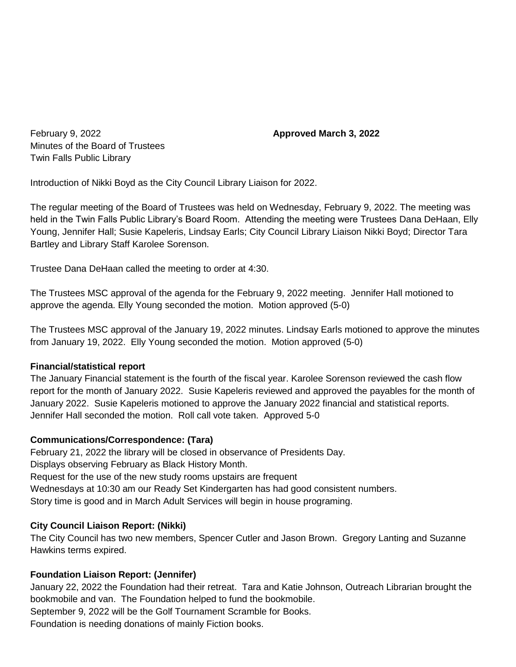February 9, 2022 **Approved March 3, 2022** Minutes of the Board of Trustees Twin Falls Public Library

Introduction of Nikki Boyd as the City Council Library Liaison for 2022.

The regular meeting of the Board of Trustees was held on Wednesday, February 9, 2022. The meeting was held in the Twin Falls Public Library's Board Room. Attending the meeting were Trustees Dana DeHaan, Elly Young, Jennifer Hall; Susie Kapeleris, Lindsay Earls; City Council Library Liaison Nikki Boyd; Director Tara Bartley and Library Staff Karolee Sorenson.

Trustee Dana DeHaan called the meeting to order at 4:30.

The Trustees MSC approval of the agenda for the February 9, 2022 meeting. Jennifer Hall motioned to approve the agenda. Elly Young seconded the motion. Motion approved (5-0)

The Trustees MSC approval of the January 19, 2022 minutes. Lindsay Earls motioned to approve the minutes from January 19, 2022. Elly Young seconded the motion. Motion approved (5-0)

# **Financial/statistical report**

The January Financial statement is the fourth of the fiscal year. Karolee Sorenson reviewed the cash flow report for the month of January 2022. Susie Kapeleris reviewed and approved the payables for the month of January 2022. Susie Kapeleris motioned to approve the January 2022 financial and statistical reports. Jennifer Hall seconded the motion. Roll call vote taken. Approved 5-0

# **Communications/Correspondence: (Tara)**

February 21, 2022 the library will be closed in observance of Presidents Day. Displays observing February as Black History Month. Request for the use of the new study rooms upstairs are frequent Wednesdays at 10:30 am our Ready Set Kindergarten has had good consistent numbers. Story time is good and in March Adult Services will begin in house programing.

# **City Council Liaison Report: (Nikki)**

The City Council has two new members, Spencer Cutler and Jason Brown. Gregory Lanting and Suzanne Hawkins terms expired.

# **Foundation Liaison Report: (Jennifer)**

January 22, 2022 the Foundation had their retreat. Tara and Katie Johnson, Outreach Librarian brought the bookmobile and van. The Foundation helped to fund the bookmobile. September 9, 2022 will be the Golf Tournament Scramble for Books. Foundation is needing donations of mainly Fiction books.